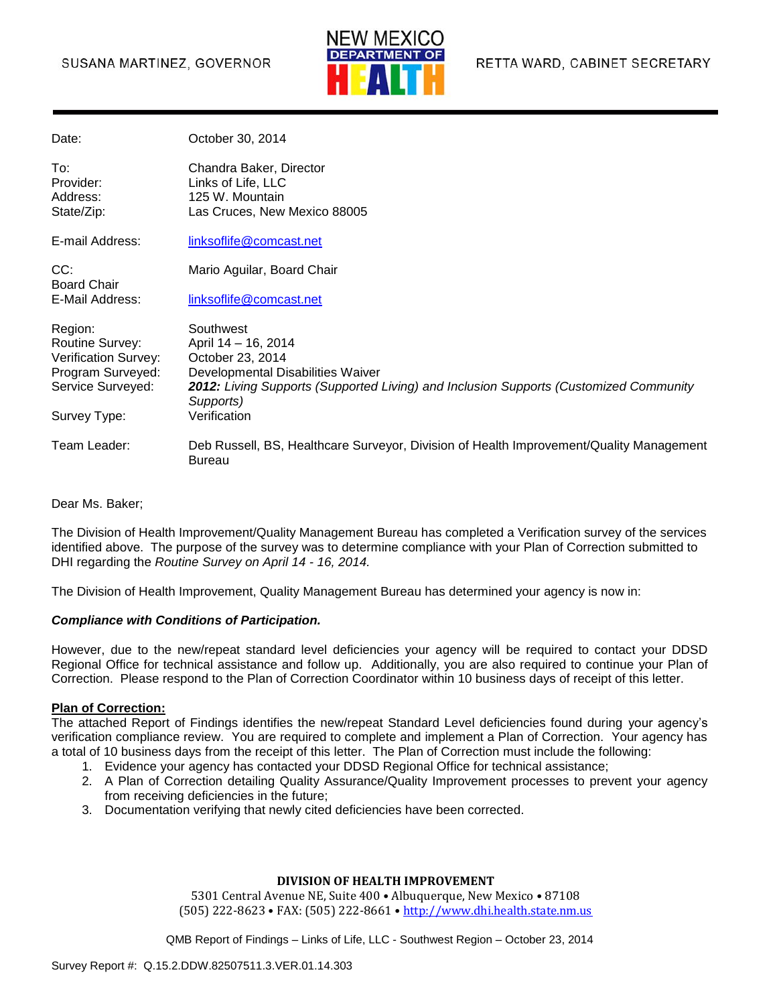### SUSANA MARTINEZ, GOVERNOR



| Date:                                                                                                        | October 30, 2014                                                                                                                                                                                                |
|--------------------------------------------------------------------------------------------------------------|-----------------------------------------------------------------------------------------------------------------------------------------------------------------------------------------------------------------|
| To:<br>Provider:<br>Address:<br>State/Zip:                                                                   | Chandra Baker, Director<br>Links of Life, LLC<br>125 W. Mountain<br>Las Cruces, New Mexico 88005                                                                                                                |
| E-mail Address:                                                                                              | linksoflife@comcast.net                                                                                                                                                                                         |
| CC:<br><b>Board Chair</b>                                                                                    | Mario Aguilar, Board Chair                                                                                                                                                                                      |
| E-Mail Address:                                                                                              | linksoflife@comcast.net                                                                                                                                                                                         |
| Region:<br>Routine Survey:<br>Verification Survey:<br>Program Surveyed:<br>Service Surveyed:<br>Survey Type: | Southwest<br>April 14 - 16, 2014<br>October 23, 2014<br>Developmental Disabilities Waiver<br>2012: Living Supports (Supported Living) and Inclusion Supports (Customized Community<br>Supports)<br>Verification |
| Team Leader:                                                                                                 | Deb Russell, BS, Healthcare Surveyor, Division of Health Improvement/Quality Management                                                                                                                         |
|                                                                                                              | <b>Bureau</b>                                                                                                                                                                                                   |

Dear Ms. Baker;

The Division of Health Improvement/Quality Management Bureau has completed a Verification survey of the services identified above. The purpose of the survey was to determine compliance with your Plan of Correction submitted to DHI regarding the *Routine Survey on April 14 - 16, 2014.*

The Division of Health Improvement, Quality Management Bureau has determined your agency is now in:

#### *Compliance with Conditions of Participation.*

However, due to the new/repeat standard level deficiencies your agency will be required to contact your DDSD Regional Office for technical assistance and follow up. Additionally, you are also required to continue your Plan of Correction. Please respond to the Plan of Correction Coordinator within 10 business days of receipt of this letter.

#### **Plan of Correction:**

The attached Report of Findings identifies the new/repeat Standard Level deficiencies found during your agency's verification compliance review. You are required to complete and implement a Plan of Correction. Your agency has a total of 10 business days from the receipt of this letter. The Plan of Correction must include the following:

- 1. Evidence your agency has contacted your DDSD Regional Office for technical assistance;
- 2. A Plan of Correction detailing Quality Assurance/Quality Improvement processes to prevent your agency from receiving deficiencies in the future;
- 3. Documentation verifying that newly cited deficiencies have been corrected.

#### **DIVISION OF HEALTH IMPROVEMENT**

5301 Central Avenue NE, Suite 400 • Albuquerque, New Mexico • 87108 (505) 222-8623 • FAX: (505) 222-8661 • [http://www.dhi.health.state.nm.us](http://www.dhi.health.state.nm.us/)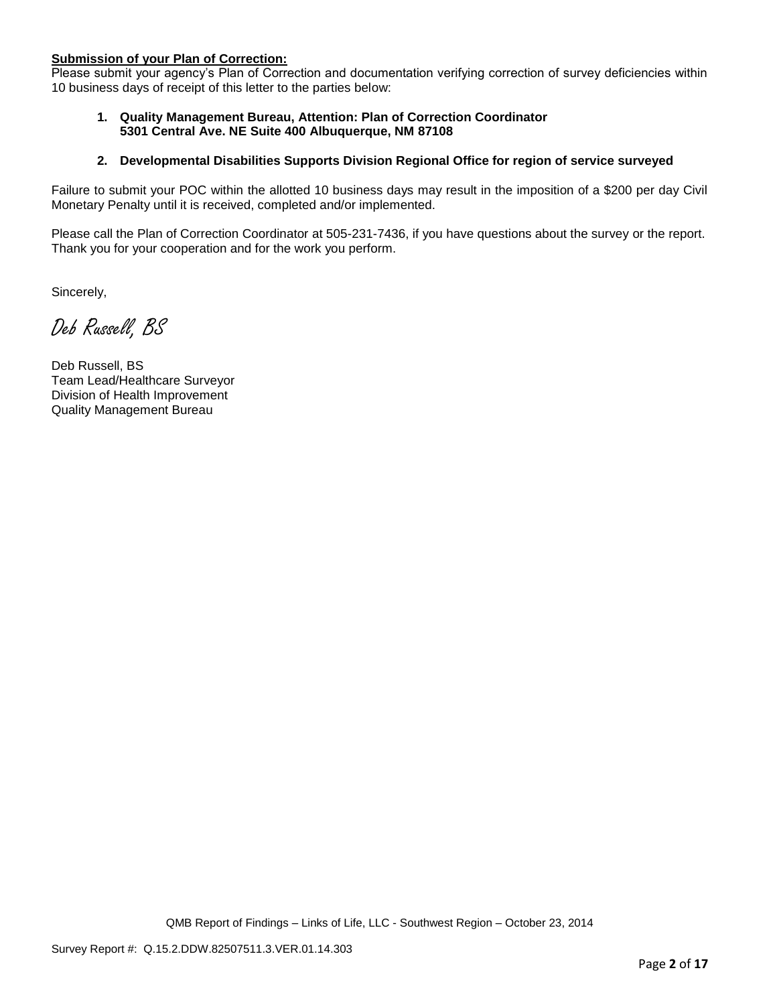#### **Submission of your Plan of Correction:**

Please submit your agency's Plan of Correction and documentation verifying correction of survey deficiencies within 10 business days of receipt of this letter to the parties below:

#### **1. Quality Management Bureau, Attention: Plan of Correction Coordinator 5301 Central Ave. NE Suite 400 Albuquerque, NM 87108**

#### **2. Developmental Disabilities Supports Division Regional Office for region of service surveyed**

Failure to submit your POC within the allotted 10 business days may result in the imposition of a \$200 per day Civil Monetary Penalty until it is received, completed and/or implemented.

Please call the Plan of Correction Coordinator at 505-231-7436, if you have questions about the survey or the report. Thank you for your cooperation and for the work you perform.

Sincerely,

Deb Russell, BS

Deb Russell, BS Team Lead/Healthcare Surveyor Division of Health Improvement Quality Management Bureau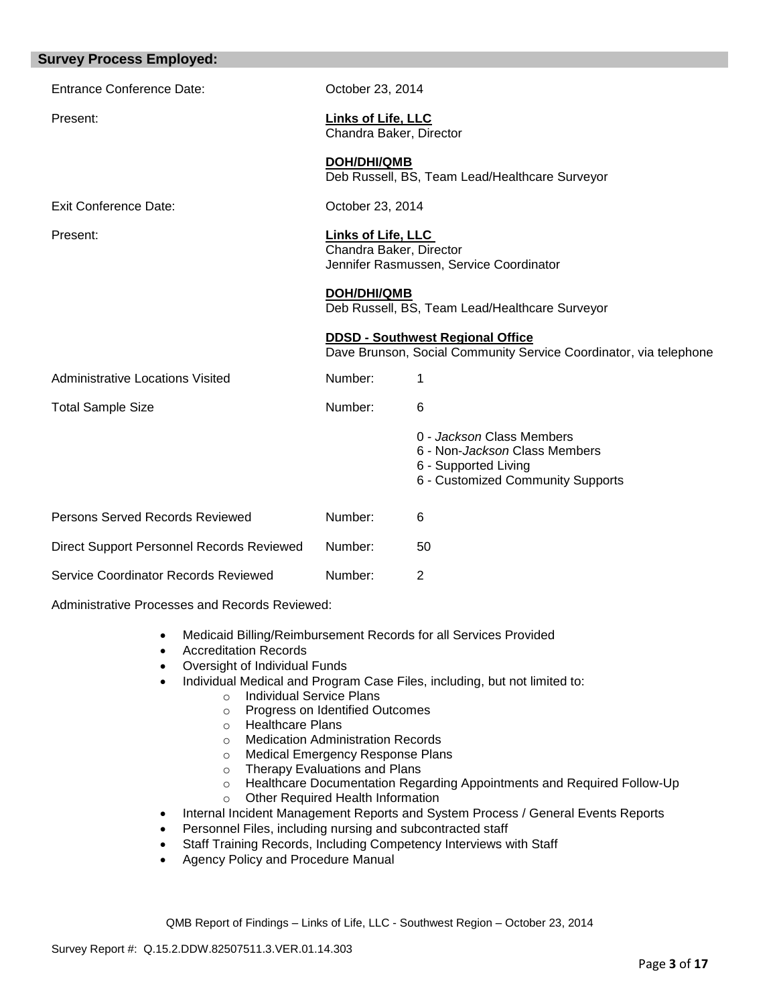| <b>Survey Process Employed:</b>           |                                               |                                                                                                                         |
|-------------------------------------------|-----------------------------------------------|-------------------------------------------------------------------------------------------------------------------------|
| <b>Entrance Conference Date:</b>          | October 23, 2014                              |                                                                                                                         |
| Present:                                  | Links of Life, LLC<br>Chandra Baker, Director |                                                                                                                         |
|                                           | <b>DOH/DHI/QMB</b>                            | Deb Russell, BS, Team Lead/Healthcare Surveyor                                                                          |
| Exit Conference Date:                     | October 23, 2014                              |                                                                                                                         |
| Present:                                  | Links of Life, LLC<br>Chandra Baker, Director | Jennifer Rasmussen, Service Coordinator                                                                                 |
|                                           | <b>DOH/DHI/QMB</b>                            | Deb Russell, BS, Team Lead/Healthcare Surveyor                                                                          |
|                                           |                                               | <b>DDSD - Southwest Regional Office</b><br>Dave Brunson, Social Community Service Coordinator, via telephone            |
| <b>Administrative Locations Visited</b>   | Number:                                       | 1                                                                                                                       |
| <b>Total Sample Size</b>                  | Number:                                       | 6                                                                                                                       |
|                                           |                                               | 0 - Jackson Class Members<br>6 - Non-Jackson Class Members<br>6 - Supported Living<br>6 - Customized Community Supports |
| <b>Persons Served Records Reviewed</b>    | Number:                                       | 6                                                                                                                       |
| Direct Support Personnel Records Reviewed | Number:                                       | 50                                                                                                                      |
| Service Coordinator Records Reviewed      | Number:                                       | 2                                                                                                                       |

Administrative Processes and Records Reviewed:

- Medicaid Billing/Reimbursement Records for all Services Provided
- Accreditation Records
- Oversight of Individual Funds
- Individual Medical and Program Case Files, including, but not limited to:
	- o Individual Service Plans
	- o Progress on Identified Outcomes
	- o Healthcare Plans
	- o Medication Administration Records
	- o Medical Emergency Response Plans<br>
	o Therapy Evaluations and Plans
	- Therapy Evaluations and Plans
	- o Healthcare Documentation Regarding Appointments and Required Follow-Up o Other Required Health Information
- Internal Incident Management Reports and System Process / General Events Reports
- Personnel Files, including nursing and subcontracted staff
- Staff Training Records, Including Competency Interviews with Staff
- Agency Policy and Procedure Manual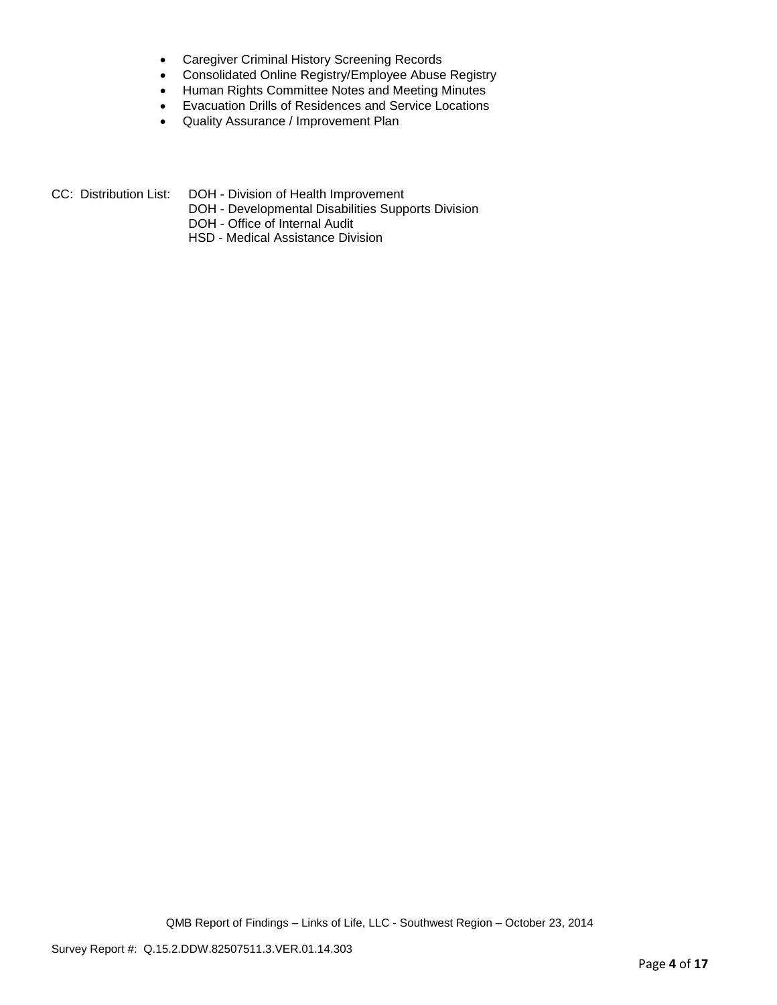- Caregiver Criminal History Screening Records
- Consolidated Online Registry/Employee Abuse Registry
- Human Rights Committee Notes and Meeting Minutes
- Evacuation Drills of Residences and Service Locations
- Quality Assurance / Improvement Plan
- CC: Distribution List: DOH Division of Health Improvement
	- DOH Developmental Disabilities Supports Division
	- DOH Office of Internal Audit
	- HSD Medical Assistance Division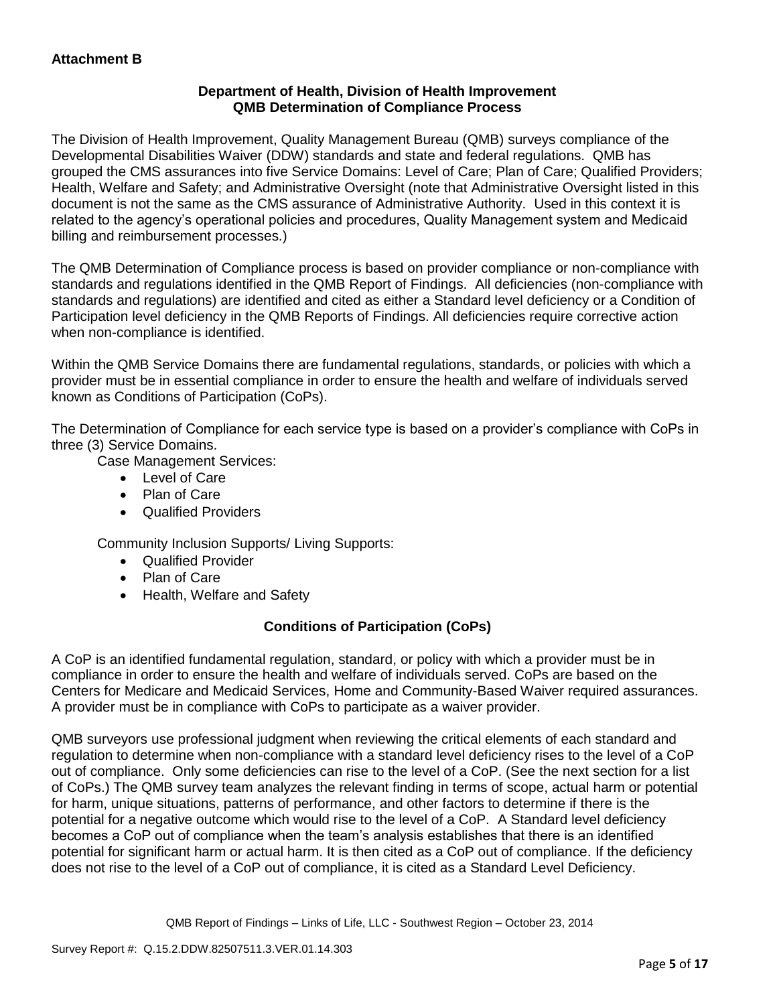## **Department of Health, Division of Health Improvement QMB Determination of Compliance Process**

The Division of Health Improvement, Quality Management Bureau (QMB) surveys compliance of the Developmental Disabilities Waiver (DDW) standards and state and federal regulations. QMB has grouped the CMS assurances into five Service Domains: Level of Care; Plan of Care; Qualified Providers; Health, Welfare and Safety; and Administrative Oversight (note that Administrative Oversight listed in this document is not the same as the CMS assurance of Administrative Authority. Used in this context it is related to the agency's operational policies and procedures, Quality Management system and Medicaid billing and reimbursement processes.)

The QMB Determination of Compliance process is based on provider compliance or non-compliance with standards and regulations identified in the QMB Report of Findings. All deficiencies (non-compliance with standards and regulations) are identified and cited as either a Standard level deficiency or a Condition of Participation level deficiency in the QMB Reports of Findings. All deficiencies require corrective action when non-compliance is identified.

Within the QMB Service Domains there are fundamental regulations, standards, or policies with which a provider must be in essential compliance in order to ensure the health and welfare of individuals served known as Conditions of Participation (CoPs).

The Determination of Compliance for each service type is based on a provider's compliance with CoPs in three (3) Service Domains.

Case Management Services:

- Level of Care
- Plan of Care
- Qualified Providers

Community Inclusion Supports/ Living Supports:

- Qualified Provider
- Plan of Care
- Health, Welfare and Safety

# **Conditions of Participation (CoPs)**

A CoP is an identified fundamental regulation, standard, or policy with which a provider must be in compliance in order to ensure the health and welfare of individuals served. CoPs are based on the Centers for Medicare and Medicaid Services, Home and Community-Based Waiver required assurances. A provider must be in compliance with CoPs to participate as a waiver provider.

QMB surveyors use professional judgment when reviewing the critical elements of each standard and regulation to determine when non-compliance with a standard level deficiency rises to the level of a CoP out of compliance. Only some deficiencies can rise to the level of a CoP. (See the next section for a list of CoPs.) The QMB survey team analyzes the relevant finding in terms of scope, actual harm or potential for harm, unique situations, patterns of performance, and other factors to determine if there is the potential for a negative outcome which would rise to the level of a CoP. A Standard level deficiency becomes a CoP out of compliance when the team's analysis establishes that there is an identified potential for significant harm or actual harm. It is then cited as a CoP out of compliance. If the deficiency does not rise to the level of a CoP out of compliance, it is cited as a Standard Level Deficiency.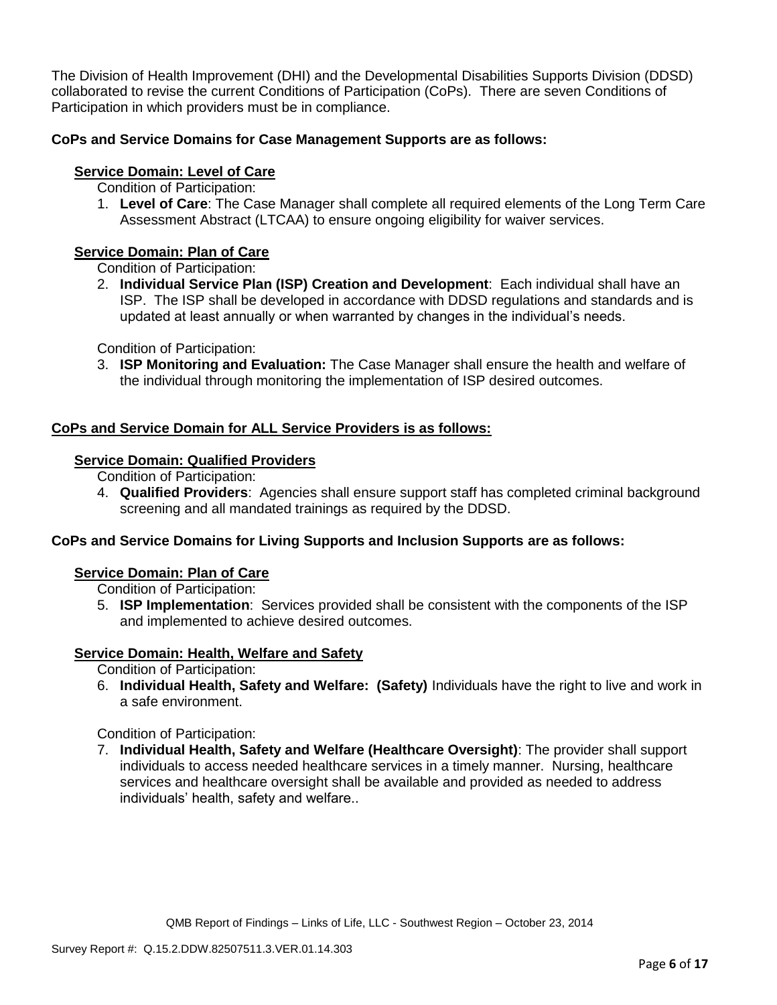The Division of Health Improvement (DHI) and the Developmental Disabilities Supports Division (DDSD) collaborated to revise the current Conditions of Participation (CoPs). There are seven Conditions of Participation in which providers must be in compliance.

# **CoPs and Service Domains for Case Management Supports are as follows:**

## **Service Domain: Level of Care**

- Condition of Participation:
- 1. **Level of Care**: The Case Manager shall complete all required elements of the Long Term Care Assessment Abstract (LTCAA) to ensure ongoing eligibility for waiver services.

# **Service Domain: Plan of Care**

Condition of Participation:

2. **Individual Service Plan (ISP) Creation and Development**: Each individual shall have an ISP. The ISP shall be developed in accordance with DDSD regulations and standards and is updated at least annually or when warranted by changes in the individual's needs.

Condition of Participation:

3. **ISP Monitoring and Evaluation:** The Case Manager shall ensure the health and welfare of the individual through monitoring the implementation of ISP desired outcomes.

## **CoPs and Service Domain for ALL Service Providers is as follows:**

## **Service Domain: Qualified Providers**

- Condition of Participation:
- 4. **Qualified Providers**: Agencies shall ensure support staff has completed criminal background screening and all mandated trainings as required by the DDSD.

## **CoPs and Service Domains for Living Supports and Inclusion Supports are as follows:**

### **Service Domain: Plan of Care**

Condition of Participation:

5. **ISP Implementation**: Services provided shall be consistent with the components of the ISP and implemented to achieve desired outcomes.

## **Service Domain: Health, Welfare and Safety**

Condition of Participation:

6. **Individual Health, Safety and Welfare: (Safety)** Individuals have the right to live and work in a safe environment.

Condition of Participation:

7. **Individual Health, Safety and Welfare (Healthcare Oversight)**: The provider shall support individuals to access needed healthcare services in a timely manner. Nursing, healthcare services and healthcare oversight shall be available and provided as needed to address individuals' health, safety and welfare..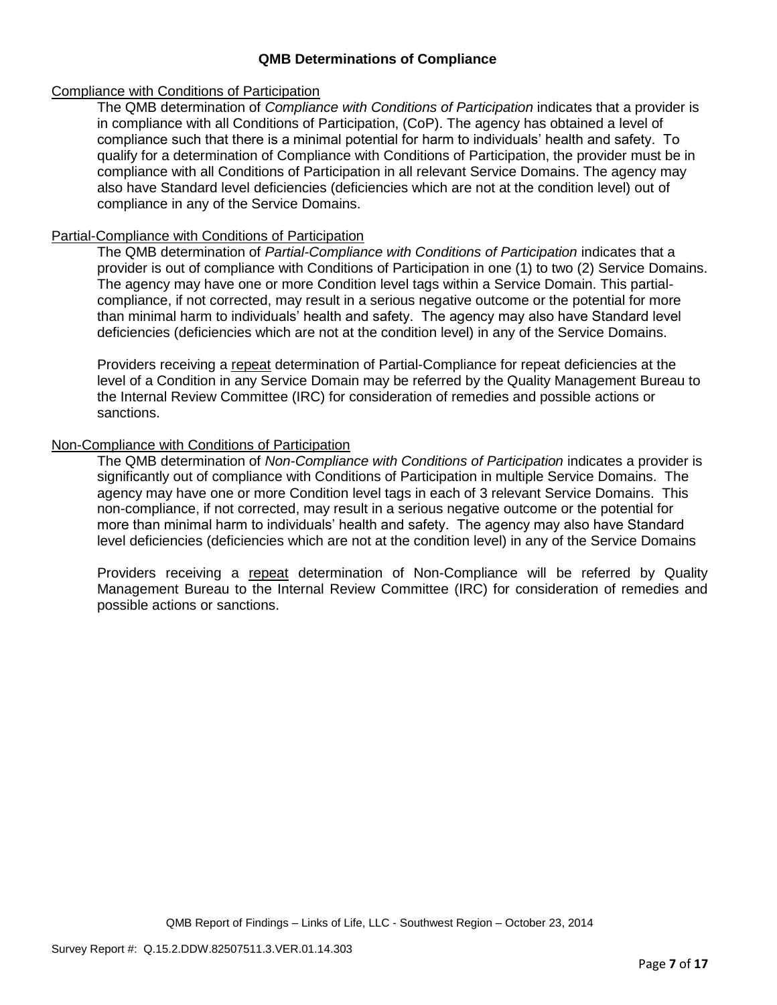### **QMB Determinations of Compliance**

### Compliance with Conditions of Participation

The QMB determination of *Compliance with Conditions of Participation* indicates that a provider is in compliance with all Conditions of Participation, (CoP). The agency has obtained a level of compliance such that there is a minimal potential for harm to individuals' health and safety. To qualify for a determination of Compliance with Conditions of Participation, the provider must be in compliance with all Conditions of Participation in all relevant Service Domains. The agency may also have Standard level deficiencies (deficiencies which are not at the condition level) out of compliance in any of the Service Domains.

### Partial-Compliance with Conditions of Participation

The QMB determination of *Partial-Compliance with Conditions of Participation* indicates that a provider is out of compliance with Conditions of Participation in one (1) to two (2) Service Domains. The agency may have one or more Condition level tags within a Service Domain. This partialcompliance, if not corrected, may result in a serious negative outcome or the potential for more than minimal harm to individuals' health and safety. The agency may also have Standard level deficiencies (deficiencies which are not at the condition level) in any of the Service Domains.

Providers receiving a repeat determination of Partial-Compliance for repeat deficiencies at the level of a Condition in any Service Domain may be referred by the Quality Management Bureau to the Internal Review Committee (IRC) for consideration of remedies and possible actions or sanctions.

### Non-Compliance with Conditions of Participation

The QMB determination of *Non-Compliance with Conditions of Participation* indicates a provider is significantly out of compliance with Conditions of Participation in multiple Service Domains. The agency may have one or more Condition level tags in each of 3 relevant Service Domains. This non-compliance, if not corrected, may result in a serious negative outcome or the potential for more than minimal harm to individuals' health and safety. The agency may also have Standard level deficiencies (deficiencies which are not at the condition level) in any of the Service Domains

Providers receiving a repeat determination of Non-Compliance will be referred by Quality Management Bureau to the Internal Review Committee (IRC) for consideration of remedies and possible actions or sanctions.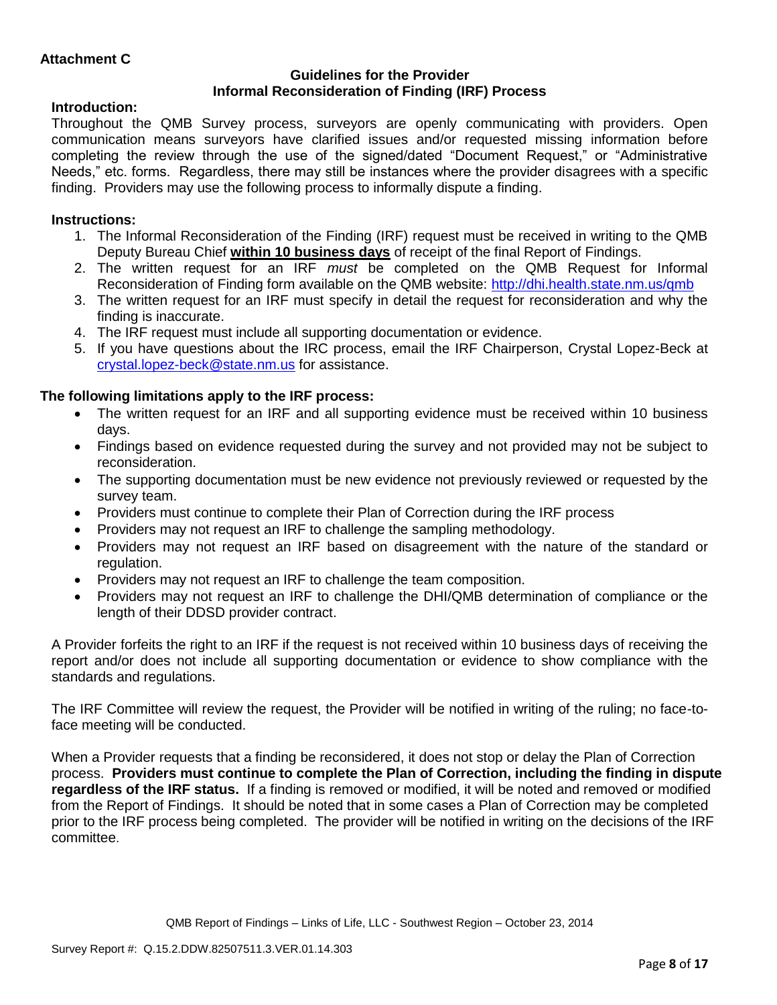### **Guidelines for the Provider Informal Reconsideration of Finding (IRF) Process**

# **Introduction:**

Throughout the QMB Survey process, surveyors are openly communicating with providers. Open communication means surveyors have clarified issues and/or requested missing information before completing the review through the use of the signed/dated "Document Request," or "Administrative Needs," etc. forms. Regardless, there may still be instances where the provider disagrees with a specific finding. Providers may use the following process to informally dispute a finding.

# **Instructions:**

- 1. The Informal Reconsideration of the Finding (IRF) request must be received in writing to the QMB Deputy Bureau Chief **within 10 business days** of receipt of the final Report of Findings.
- 2. The written request for an IRF *must* be completed on the QMB Request for Informal Reconsideration of Finding form available on the QMB website:<http://dhi.health.state.nm.us/qmb>
- 3. The written request for an IRF must specify in detail the request for reconsideration and why the finding is inaccurate.
- 4. The IRF request must include all supporting documentation or evidence.
- 5. If you have questions about the IRC process, email the IRF Chairperson, Crystal Lopez-Beck at [crystal.lopez-beck@state.nm.us](mailto:crystal.lopez-beck@state.nm.us) for assistance.

# **The following limitations apply to the IRF process:**

- The written request for an IRF and all supporting evidence must be received within 10 business days.
- Findings based on evidence requested during the survey and not provided may not be subject to reconsideration.
- The supporting documentation must be new evidence not previously reviewed or requested by the survey team.
- Providers must continue to complete their Plan of Correction during the IRF process
- Providers may not request an IRF to challenge the sampling methodology.
- Providers may not request an IRF based on disagreement with the nature of the standard or regulation.
- Providers may not request an IRF to challenge the team composition.
- Providers may not request an IRF to challenge the DHI/QMB determination of compliance or the length of their DDSD provider contract.

A Provider forfeits the right to an IRF if the request is not received within 10 business days of receiving the report and/or does not include all supporting documentation or evidence to show compliance with the standards and regulations.

The IRF Committee will review the request, the Provider will be notified in writing of the ruling; no face-toface meeting will be conducted.

When a Provider requests that a finding be reconsidered, it does not stop or delay the Plan of Correction process. **Providers must continue to complete the Plan of Correction, including the finding in dispute regardless of the IRF status.** If a finding is removed or modified, it will be noted and removed or modified from the Report of Findings. It should be noted that in some cases a Plan of Correction may be completed prior to the IRF process being completed. The provider will be notified in writing on the decisions of the IRF committee.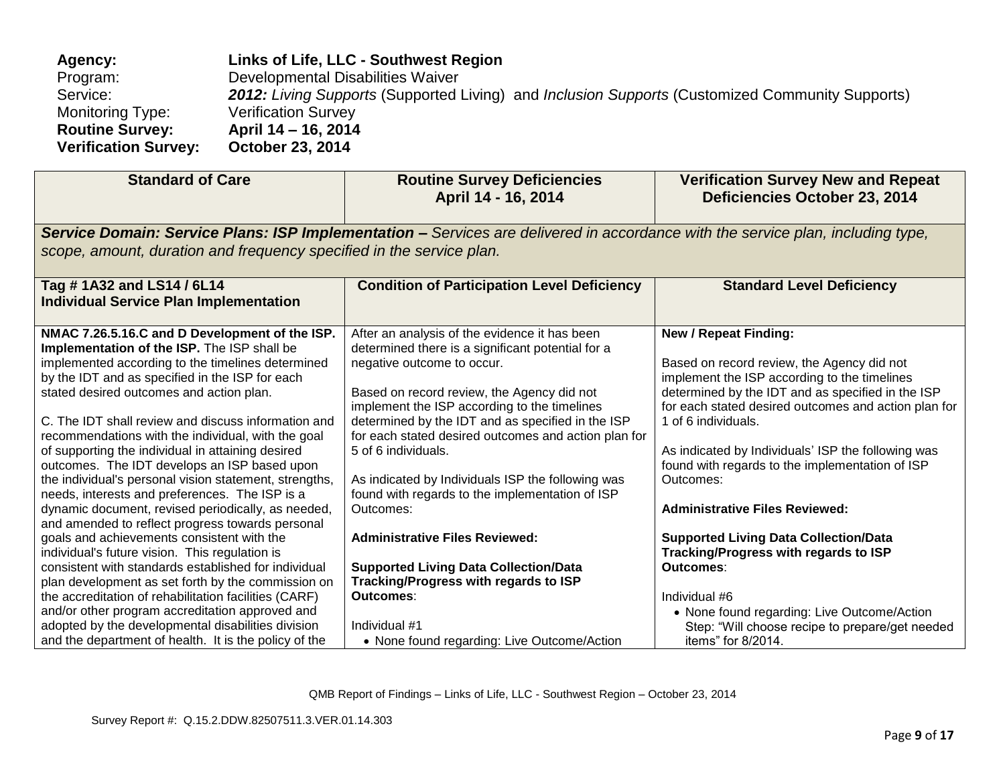| <b>Agency:</b>              | Links of Life, LLC - Southwest Region                                                                  |
|-----------------------------|--------------------------------------------------------------------------------------------------------|
| Program:                    | Developmental Disabilities Waiver                                                                      |
| Service:                    | <b>2012:</b> Living Supports (Supported Living) and Inclusion Supports (Customized Community Supports) |
| Monitoring Type:            | <b>Verification Survey</b>                                                                             |
| <b>Routine Survey:</b>      | April 14 – 16, 2014                                                                                    |
| <b>Verification Survey:</b> | <b>October 23, 2014</b>                                                                                |

| <b>Standard of Care</b>                                                                                                                                                                                                                                                                                                                                                                                                                                                                                                                                                                                                                                                                                                                                                                                                                                                                                 | <b>Routine Survey Deficiencies</b><br>April 14 - 16, 2014                                                                                                                                                                                                                                                                                                                                                                                                                                                                                                                                                                 | <b>Verification Survey New and Repeat</b><br><b>Deficiencies October 23, 2014</b>                                                                                                                                                                                                                                                                                                                                                                                                                                                   |  |
|---------------------------------------------------------------------------------------------------------------------------------------------------------------------------------------------------------------------------------------------------------------------------------------------------------------------------------------------------------------------------------------------------------------------------------------------------------------------------------------------------------------------------------------------------------------------------------------------------------------------------------------------------------------------------------------------------------------------------------------------------------------------------------------------------------------------------------------------------------------------------------------------------------|---------------------------------------------------------------------------------------------------------------------------------------------------------------------------------------------------------------------------------------------------------------------------------------------------------------------------------------------------------------------------------------------------------------------------------------------------------------------------------------------------------------------------------------------------------------------------------------------------------------------------|-------------------------------------------------------------------------------------------------------------------------------------------------------------------------------------------------------------------------------------------------------------------------------------------------------------------------------------------------------------------------------------------------------------------------------------------------------------------------------------------------------------------------------------|--|
| Service Domain: Service Plans: ISP Implementation - Services are delivered in accordance with the service plan, including type,<br>scope, amount, duration and frequency specified in the service plan.                                                                                                                                                                                                                                                                                                                                                                                                                                                                                                                                                                                                                                                                                                 |                                                                                                                                                                                                                                                                                                                                                                                                                                                                                                                                                                                                                           |                                                                                                                                                                                                                                                                                                                                                                                                                                                                                                                                     |  |
| Tag #1A32 and LS14 / 6L14<br><b>Individual Service Plan Implementation</b>                                                                                                                                                                                                                                                                                                                                                                                                                                                                                                                                                                                                                                                                                                                                                                                                                              | <b>Condition of Participation Level Deficiency</b>                                                                                                                                                                                                                                                                                                                                                                                                                                                                                                                                                                        | <b>Standard Level Deficiency</b>                                                                                                                                                                                                                                                                                                                                                                                                                                                                                                    |  |
| NMAC 7.26.5.16.C and D Development of the ISP.<br>Implementation of the ISP. The ISP shall be<br>implemented according to the timelines determined<br>by the IDT and as specified in the ISP for each<br>stated desired outcomes and action plan.<br>C. The IDT shall review and discuss information and<br>recommendations with the individual, with the goal<br>of supporting the individual in attaining desired<br>outcomes. The IDT develops an ISP based upon<br>the individual's personal vision statement, strengths,<br>needs, interests and preferences. The ISP is a<br>dynamic document, revised periodically, as needed,<br>and amended to reflect progress towards personal<br>goals and achievements consistent with the<br>individual's future vision. This regulation is<br>consistent with standards established for individual<br>plan development as set forth by the commission on | After an analysis of the evidence it has been<br>determined there is a significant potential for a<br>negative outcome to occur.<br>Based on record review, the Agency did not<br>implement the ISP according to the timelines<br>determined by the IDT and as specified in the ISP<br>for each stated desired outcomes and action plan for<br>5 of 6 individuals.<br>As indicated by Individuals ISP the following was<br>found with regards to the implementation of ISP<br>Outcomes:<br><b>Administrative Files Reviewed:</b><br><b>Supported Living Data Collection/Data</b><br>Tracking/Progress with regards to ISP | <b>New / Repeat Finding:</b><br>Based on record review, the Agency did not<br>implement the ISP according to the timelines<br>determined by the IDT and as specified in the ISP<br>for each stated desired outcomes and action plan for<br>1 of 6 individuals.<br>As indicated by Individuals' ISP the following was<br>found with regards to the implementation of ISP<br>Outcomes:<br><b>Administrative Files Reviewed:</b><br><b>Supported Living Data Collection/Data</b><br>Tracking/Progress with regards to ISP<br>Outcomes: |  |
| the accreditation of rehabilitation facilities (CARF)<br>and/or other program accreditation approved and<br>adopted by the developmental disabilities division<br>and the department of health. It is the policy of the                                                                                                                                                                                                                                                                                                                                                                                                                                                                                                                                                                                                                                                                                 | Outcomes:<br>Individual #1<br>• None found regarding: Live Outcome/Action                                                                                                                                                                                                                                                                                                                                                                                                                                                                                                                                                 | Individual #6<br>• None found regarding: Live Outcome/Action<br>Step: "Will choose recipe to prepare/get needed<br>items" for 8/2014.                                                                                                                                                                                                                                                                                                                                                                                               |  |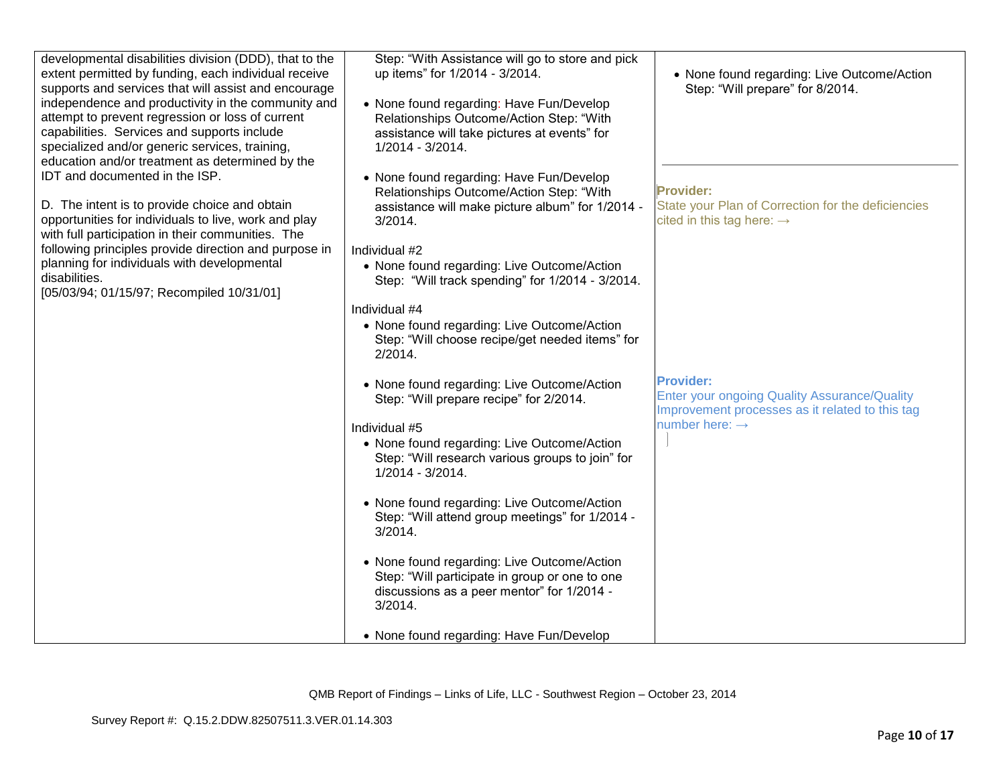| developmental disabilities division (DDD), that to the<br>extent permitted by funding, each individual receive<br>supports and services that will assist and encourage<br>independence and productivity in the community and<br>attempt to prevent regression or loss of current<br>capabilities. Services and supports include<br>specialized and/or generic services, training,<br>education and/or treatment as determined by the<br>IDT and documented in the ISP.<br>D. The intent is to provide choice and obtain<br>opportunities for individuals to live, work and play<br>with full participation in their communities. The<br>following principles provide direction and purpose in<br>planning for individuals with developmental<br>disabilities.<br>[05/03/94; 01/15/97; Recompiled 10/31/01] | Step: "With Assistance will go to store and pick<br>up items" for 1/2014 - 3/2014.<br>• None found regarding: Have Fun/Develop<br>Relationships Outcome/Action Step: "With<br>assistance will take pictures at events" for<br>1/2014 - 3/2014.<br>• None found regarding: Have Fun/Develop<br>Relationships Outcome/Action Step: "With<br>assistance will make picture album" for 1/2014 -<br>$3/2014$ .<br>Individual #2<br>• None found regarding: Live Outcome/Action<br>Step: "Will track spending" for 1/2014 - 3/2014.<br>Individual #4<br>• None found regarding: Live Outcome/Action<br>Step: "Will choose recipe/get needed items" for<br>2/2014. | • None found regarding: Live Outcome/Action<br>Step: "Will prepare" for 8/2014.<br><b>Provider:</b><br>State your Plan of Correction for the deficiencies<br>cited in this tag here: $\rightarrow$ |
|------------------------------------------------------------------------------------------------------------------------------------------------------------------------------------------------------------------------------------------------------------------------------------------------------------------------------------------------------------------------------------------------------------------------------------------------------------------------------------------------------------------------------------------------------------------------------------------------------------------------------------------------------------------------------------------------------------------------------------------------------------------------------------------------------------|------------------------------------------------------------------------------------------------------------------------------------------------------------------------------------------------------------------------------------------------------------------------------------------------------------------------------------------------------------------------------------------------------------------------------------------------------------------------------------------------------------------------------------------------------------------------------------------------------------------------------------------------------------|----------------------------------------------------------------------------------------------------------------------------------------------------------------------------------------------------|
|                                                                                                                                                                                                                                                                                                                                                                                                                                                                                                                                                                                                                                                                                                                                                                                                            | • None found regarding: Live Outcome/Action<br>Step: "Will prepare recipe" for 2/2014.<br>Individual #5<br>• None found regarding: Live Outcome/Action<br>Step: "Will research various groups to join" for<br>1/2014 - 3/2014.<br>• None found regarding: Live Outcome/Action<br>Step: "Will attend group meetings" for 1/2014 -<br>$3/2014$ .<br>• None found regarding: Live Outcome/Action<br>Step: "Will participate in group or one to one<br>discussions as a peer mentor" for 1/2014 -<br>$3/2014$ .<br>• None found regarding: Have Fun/Develop                                                                                                    | <b>Provider:</b><br>Enter your ongoing Quality Assurance/Quality<br>Improvement processes as it related to this tag<br>number here: $\rightarrow$                                                  |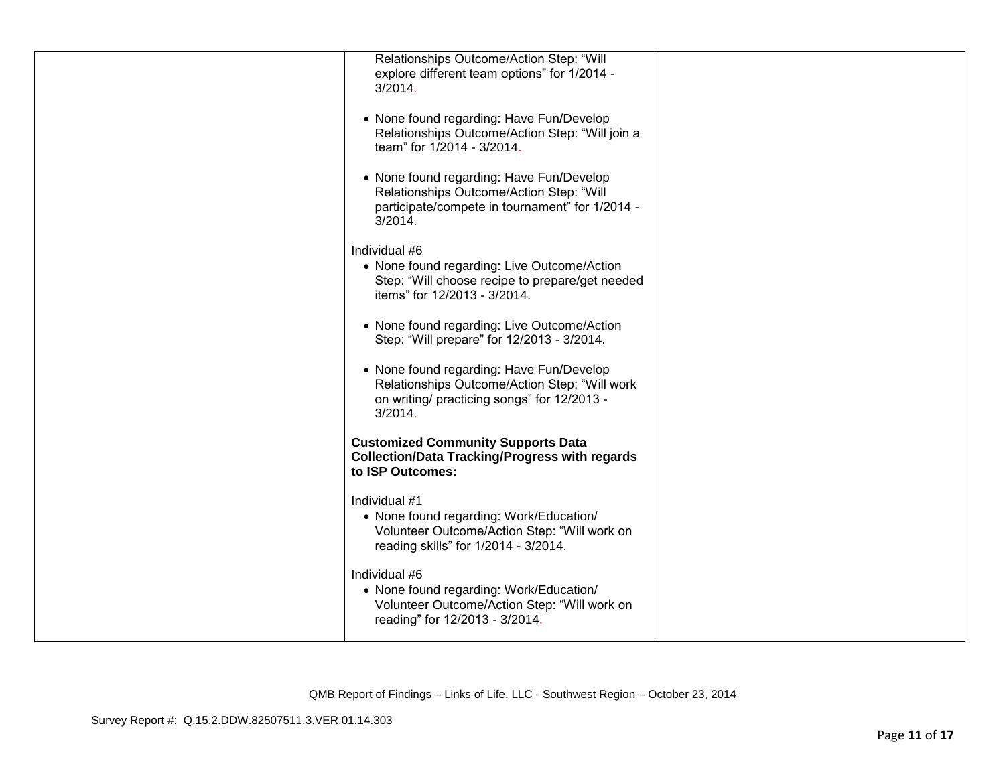| Relationships Outcome/Action Step: "Will<br>explore different team options" for 1/2014 -<br>3/2014.                                                   |  |
|-------------------------------------------------------------------------------------------------------------------------------------------------------|--|
| • None found regarding: Have Fun/Develop<br>Relationships Outcome/Action Step: "Will join a<br>team" for 1/2014 - 3/2014.                             |  |
| • None found regarding: Have Fun/Develop<br>Relationships Outcome/Action Step: "Will<br>participate/compete in tournament" for 1/2014 -<br>$3/2014$ . |  |
| Individual #6<br>• None found regarding: Live Outcome/Action<br>Step: "Will choose recipe to prepare/get needed<br>items" for 12/2013 - 3/2014.       |  |
| • None found regarding: Live Outcome/Action<br>Step: "Will prepare" for 12/2013 - 3/2014.                                                             |  |
| • None found regarding: Have Fun/Develop<br>Relationships Outcome/Action Step: "Will work<br>on writing/ practicing songs" for 12/2013 -<br>3/2014.   |  |
| <b>Customized Community Supports Data</b><br><b>Collection/Data Tracking/Progress with regards</b><br>to ISP Outcomes:                                |  |
| Individual #1<br>• None found regarding: Work/Education/<br>Volunteer Outcome/Action Step: "Will work on<br>reading skills" for 1/2014 - 3/2014.      |  |
| Individual #6<br>• None found regarding: Work/Education/<br>Volunteer Outcome/Action Step: "Will work on<br>reading" for 12/2013 - 3/2014.            |  |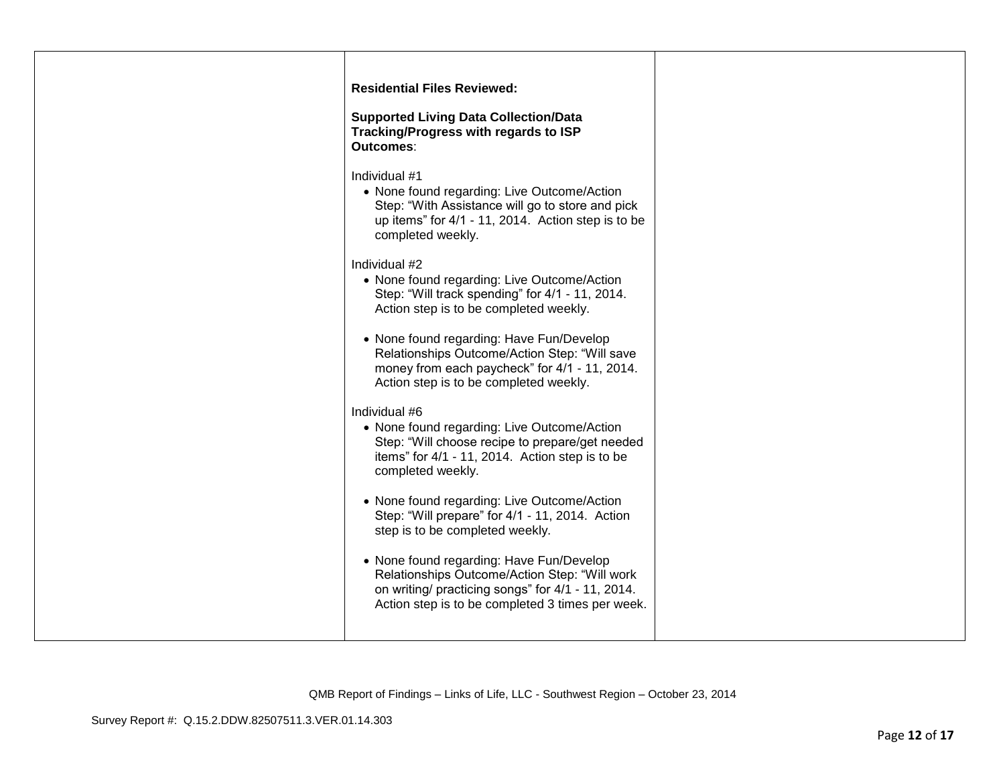| <b>Residential Files Reviewed:</b>                                                                                                                                                                 |
|----------------------------------------------------------------------------------------------------------------------------------------------------------------------------------------------------|
| <b>Supported Living Data Collection/Data</b><br>Tracking/Progress with regards to ISP<br>Outcomes:                                                                                                 |
| Individual #1<br>• None found regarding: Live Outcome/Action<br>Step: "With Assistance will go to store and pick<br>up items" for 4/1 - 11, 2014. Action step is to be<br>completed weekly.        |
| Individual #2<br>• None found regarding: Live Outcome/Action<br>Step: "Will track spending" for 4/1 - 11, 2014.<br>Action step is to be completed weekly.                                          |
| • None found regarding: Have Fun/Develop<br>Relationships Outcome/Action Step: "Will save<br>money from each paycheck" for 4/1 - 11, 2014.<br>Action step is to be completed weekly.               |
| Individual #6<br>• None found regarding: Live Outcome/Action<br>Step: "Will choose recipe to prepare/get needed<br>items" for 4/1 - 11, 2014. Action step is to be<br>completed weekly.            |
| • None found regarding: Live Outcome/Action<br>Step: "Will prepare" for 4/1 - 11, 2014. Action<br>step is to be completed weekly.                                                                  |
| • None found regarding: Have Fun/Develop<br>Relationships Outcome/Action Step: "Will work<br>on writing/ practicing songs" for 4/1 - 11, 2014.<br>Action step is to be completed 3 times per week. |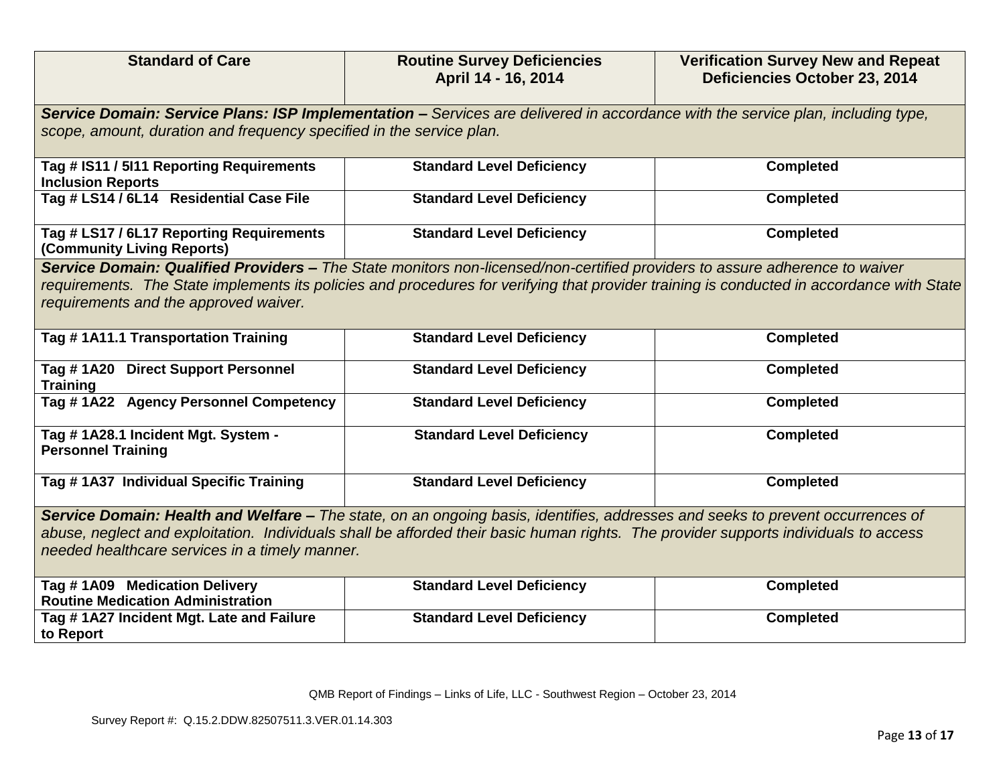| <b>Standard of Care</b>                                                                                                                                                                                                                                                                                                  | <b>Routine Survey Deficiencies</b><br>April 14 - 16, 2014 | <b>Verification Survey New and Repeat</b><br>Deficiencies October 23, 2014 |
|--------------------------------------------------------------------------------------------------------------------------------------------------------------------------------------------------------------------------------------------------------------------------------------------------------------------------|-----------------------------------------------------------|----------------------------------------------------------------------------|
| Service Domain: Service Plans: ISP Implementation - Services are delivered in accordance with the service plan, including type,<br>scope, amount, duration and frequency specified in the service plan.                                                                                                                  |                                                           |                                                                            |
| Tag # IS11 / 5I11 Reporting Requirements<br><b>Inclusion Reports</b>                                                                                                                                                                                                                                                     | <b>Standard Level Deficiency</b>                          | <b>Completed</b>                                                           |
| Tag # LS14 / 6L14 Residential Case File                                                                                                                                                                                                                                                                                  | <b>Standard Level Deficiency</b>                          | <b>Completed</b>                                                           |
| Tag # LS17 / 6L17 Reporting Requirements<br>(Community Living Reports)                                                                                                                                                                                                                                                   | <b>Standard Level Deficiency</b>                          | <b>Completed</b>                                                           |
| Service Domain: Qualified Providers - The State monitors non-licensed/non-certified providers to assure adherence to waiver<br>requirements. The State implements its policies and procedures for verifying that provider training is conducted in accordance with State<br>requirements and the approved waiver.        |                                                           |                                                                            |
| Tag #1A11.1 Transportation Training                                                                                                                                                                                                                                                                                      | <b>Standard Level Deficiency</b>                          | <b>Completed</b>                                                           |
| Tag #1A20 Direct Support Personnel<br><b>Training</b>                                                                                                                                                                                                                                                                    | <b>Standard Level Deficiency</b>                          | <b>Completed</b>                                                           |
| Tag #1A22 Agency Personnel Competency                                                                                                                                                                                                                                                                                    | <b>Standard Level Deficiency</b>                          | <b>Completed</b>                                                           |
| Tag # 1A28.1 Incident Mgt. System -<br><b>Personnel Training</b>                                                                                                                                                                                                                                                         | <b>Standard Level Deficiency</b>                          | <b>Completed</b>                                                           |
| Tag # 1A37 Individual Specific Training                                                                                                                                                                                                                                                                                  | <b>Standard Level Deficiency</b>                          | <b>Completed</b>                                                           |
| Service Domain: Health and Welfare - The state, on an ongoing basis, identifies, addresses and seeks to prevent occurrences of<br>abuse, neglect and exploitation. Individuals shall be afforded their basic human rights. The provider supports individuals to access<br>needed healthcare services in a timely manner. |                                                           |                                                                            |
| Tag #1A09 Medication Delivery<br><b>Routine Medication Administration</b>                                                                                                                                                                                                                                                | <b>Standard Level Deficiency</b>                          | <b>Completed</b>                                                           |
| Tag # 1A27 Incident Mgt. Late and Failure<br>to Report                                                                                                                                                                                                                                                                   | <b>Standard Level Deficiency</b>                          | <b>Completed</b>                                                           |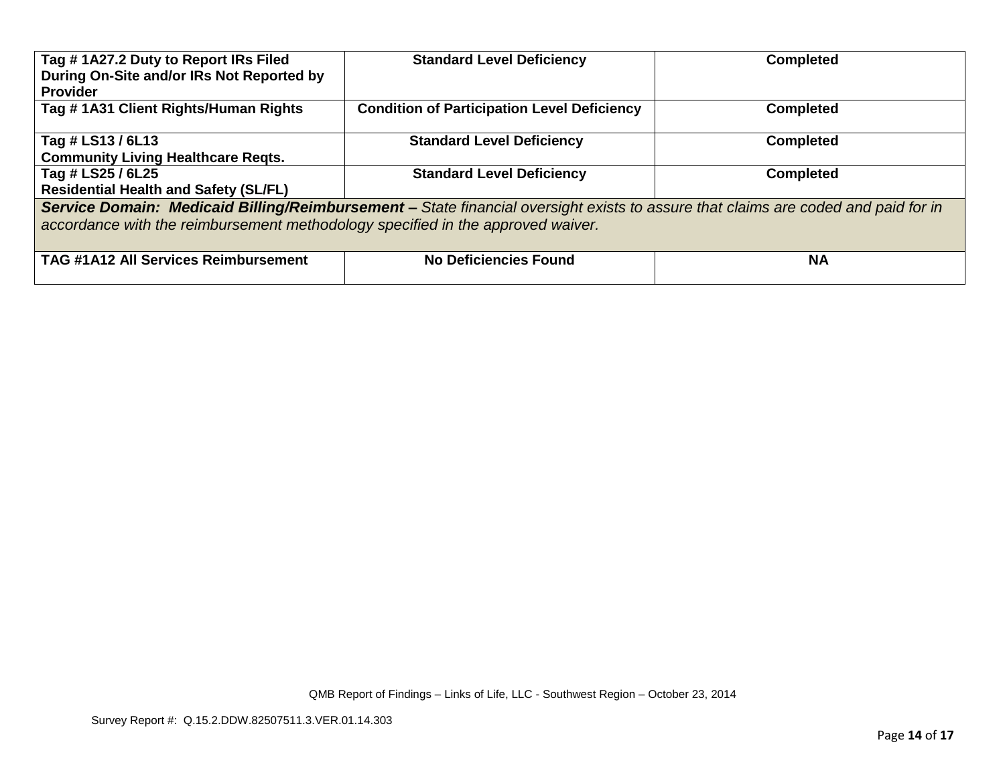| Tag #1A27.2 Duty to Report IRs Filed<br>During On-Site and/or IRs Not Reported by<br><b>Provider</b>                                                                                                                 | <b>Standard Level Deficiency</b>                   | <b>Completed</b> |
|----------------------------------------------------------------------------------------------------------------------------------------------------------------------------------------------------------------------|----------------------------------------------------|------------------|
| Tag #1A31 Client Rights/Human Rights                                                                                                                                                                                 | <b>Condition of Participation Level Deficiency</b> | <b>Completed</b> |
| Tag # LS13 / 6L13                                                                                                                                                                                                    | <b>Standard Level Deficiency</b>                   | <b>Completed</b> |
| <b>Community Living Healthcare Reqts.</b>                                                                                                                                                                            |                                                    |                  |
| Tag # LS25 / 6L25                                                                                                                                                                                                    | <b>Standard Level Deficiency</b>                   | <b>Completed</b> |
| <b>Residential Health and Safety (SL/FL)</b>                                                                                                                                                                         |                                                    |                  |
| Service Domain: Medicaid Billing/Reimbursement - State financial oversight exists to assure that claims are coded and paid for in<br>accordance with the reimbursement methodology specified in the approved waiver. |                                                    |                  |
| <b>TAG #1A12 All Services Reimbursement</b>                                                                                                                                                                          | <b>No Deficiencies Found</b>                       | <b>NA</b>        |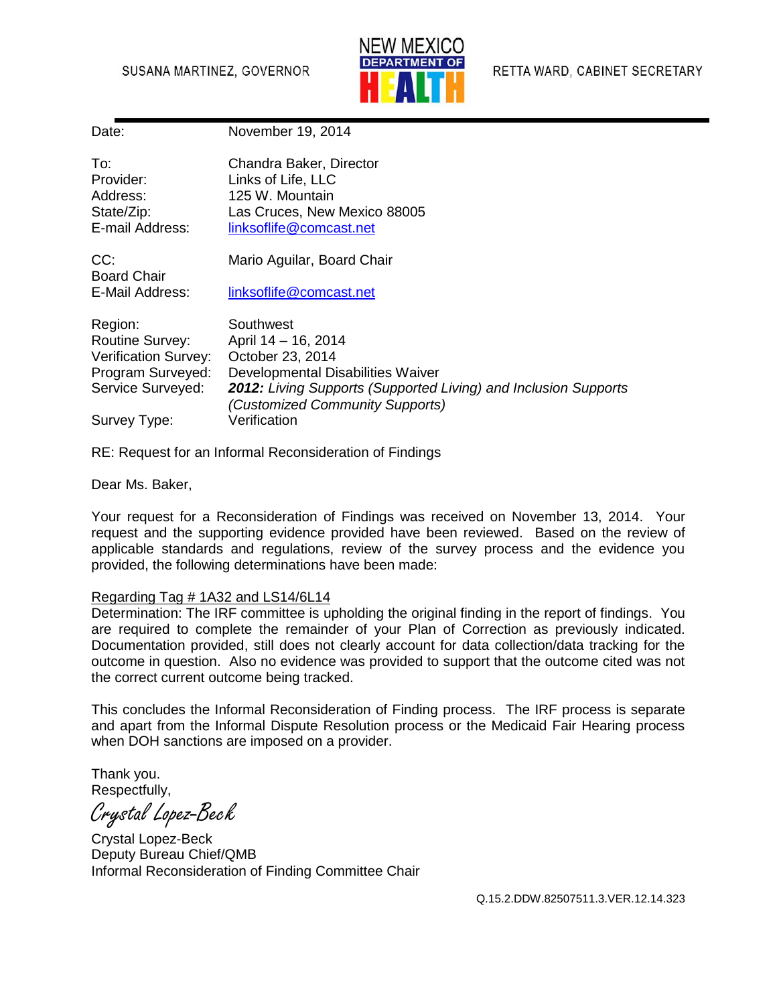### SUSANA MARTINEZ, GOVERNOR



| Date:                       | November 19, 2014                                                                                         |
|-----------------------------|-----------------------------------------------------------------------------------------------------------|
| To:                         | Chandra Baker, Director                                                                                   |
| Provider:                   | Links of Life, LLC                                                                                        |
| Address:                    | 125 W. Mountain                                                                                           |
| State/Zip:                  | Las Cruces, New Mexico 88005                                                                              |
| E-mail Address:             | linksoflife@comcast.net                                                                                   |
| CC:                         | Mario Aguilar, Board Chair                                                                                |
| <b>Board Chair</b>          |                                                                                                           |
| E-Mail Address:             | linksoflife@comcast.net                                                                                   |
| Region:                     | Southwest                                                                                                 |
| <b>Routine Survey:</b>      | April 14 - 16, 2014                                                                                       |
| <b>Verification Survey:</b> | October 23, 2014                                                                                          |
| Program Surveyed:           | Developmental Disabilities Waiver                                                                         |
| Service Surveyed:           | <b>2012:</b> Living Supports (Supported Living) and Inclusion Supports<br>(Customized Community Supports) |
| Survey Type:                | Verification                                                                                              |
|                             |                                                                                                           |

RE: Request for an Informal Reconsideration of Findings

Dear Ms. Baker,

Your request for a Reconsideration of Findings was received on November 13, 2014. Your request and the supporting evidence provided have been reviewed. Based on the review of applicable standards and regulations, review of the survey process and the evidence you provided, the following determinations have been made:

#### Regarding Tag # 1A32 and LS14/6L14

Determination: The IRF committee is upholding the original finding in the report of findings. You are required to complete the remainder of your Plan of Correction as previously indicated. Documentation provided, still does not clearly account for data collection/data tracking for the outcome in question. Also no evidence was provided to support that the outcome cited was not the correct current outcome being tracked.

This concludes the Informal Reconsideration of Finding process. The IRF process is separate and apart from the Informal Dispute Resolution process or the Medicaid Fair Hearing process when DOH sanctions are imposed on a provider.

Thank you. Respectfully,

Crystal Lopez-Beck

Crystal Lopez-Beck Deputy Bureau Chief/QMB Informal Reconsideration of Finding Committee Chair

Q.15.2.DDW.82507511.3.VER.12.14.323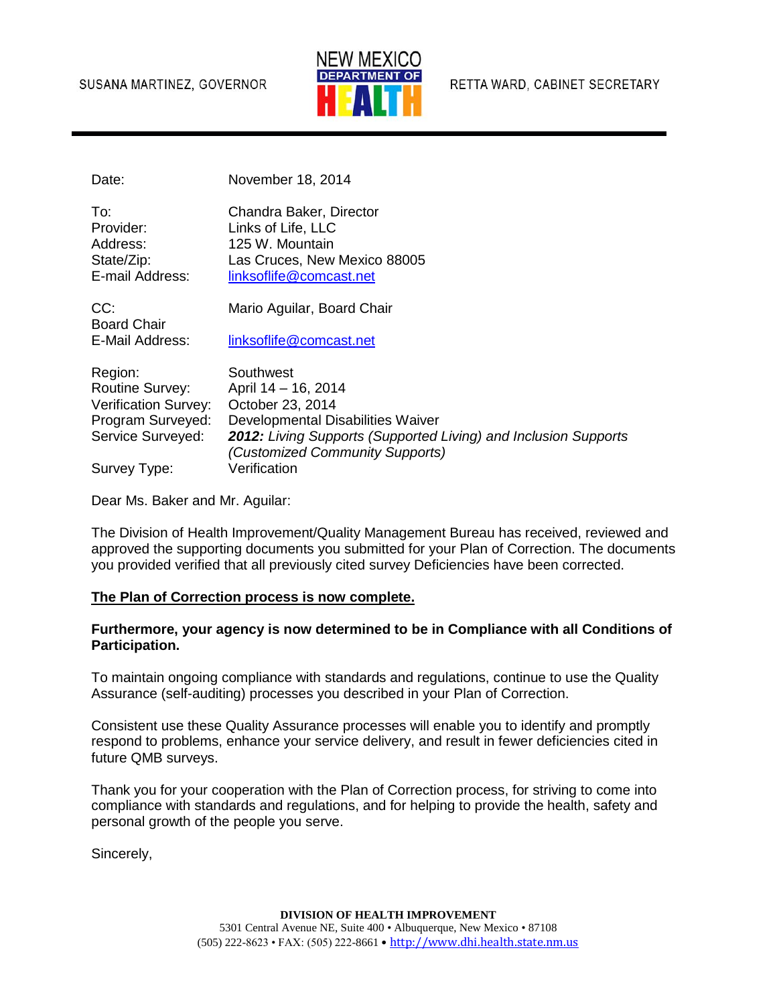#### SUSANA MARTINEZ, GOVERNOR



RETTA WARD, CABINET SECRETARY

Date: November 18, 2014

| To:             | Chandra Baker, Director      |
|-----------------|------------------------------|
| Provider:       | Links of Life, LLC           |
| Address:        | 125 W. Mountain              |
| State/Zip:      | Las Cruces, New Mexico 88005 |
| E-mail Address: | linksoflife@comcast.net      |
|                 |                              |

CC: Mario Aguilar, Board Chair Board Chair E-Mail Address: [linksoflife@comcast.net](mailto:linksoflife@comcast.net)

| Region:                     | Southwest                                                                                                 |
|-----------------------------|-----------------------------------------------------------------------------------------------------------|
| Routine Survey:             | April 14 - 16, 2014                                                                                       |
| <b>Verification Survey:</b> | October 23, 2014                                                                                          |
| Program Surveyed:           | Developmental Disabilities Waiver                                                                         |
| Service Surveyed:           | <b>2012:</b> Living Supports (Supported Living) and Inclusion Supports<br>(Customized Community Supports) |
| Survey Type:                | Verification                                                                                              |

Dear Ms. Baker and Mr. Aguilar:

The Division of Health Improvement/Quality Management Bureau has received, reviewed and approved the supporting documents you submitted for your Plan of Correction. The documents you provided verified that all previously cited survey Deficiencies have been corrected.

### **The Plan of Correction process is now complete.**

#### **Furthermore, your agency is now determined to be in Compliance with all Conditions of Participation.**

To maintain ongoing compliance with standards and regulations, continue to use the Quality Assurance (self-auditing) processes you described in your Plan of Correction.

Consistent use these Quality Assurance processes will enable you to identify and promptly respond to problems, enhance your service delivery, and result in fewer deficiencies cited in future QMB surveys.

Thank you for your cooperation with the Plan of Correction process, for striving to come into compliance with standards and regulations, and for helping to provide the health, safety and personal growth of the people you serve.

Sincerely,